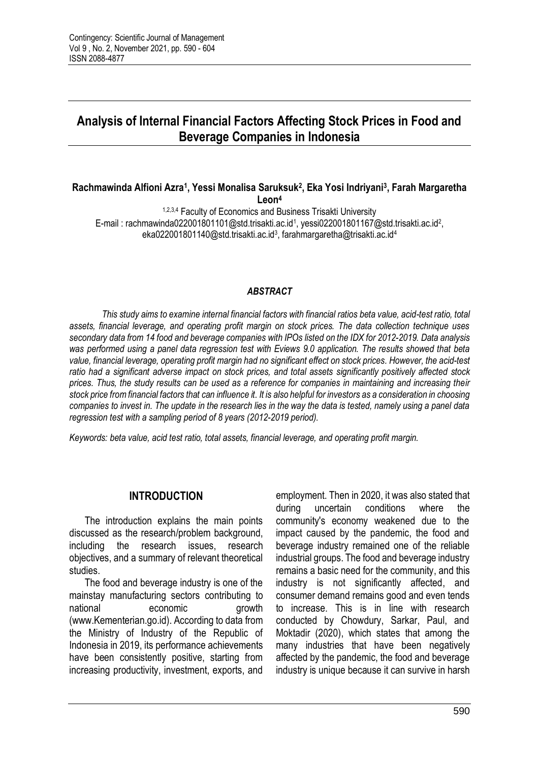# **Analysis of Internal Financial Factors Affecting Stock Prices in Food and Beverage Companies in Indonesia**

#### **Rachmawinda Alfioni Azra<sup>1</sup> , Yessi Monalisa Saruksuk<sup>2</sup> , Eka Yosi Indriyani<sup>3</sup> , Farah Margaretha Leon<sup>4</sup>**

1,2,3,4 Faculty of Economics and Business Trisakti University E-mail: rachmawinda022001801101@std.trisakti.ac.id<sup>1</sup>, yessi022001801167@std.trisakti.ac.id<sup>2</sup>, eka022001801140@std.trisakti.ac.id<sup>3</sup>, farahmargaretha@trisakti.ac.id<sup>4</sup>

#### *ABSTRACT*

*This study aims to examine internal financial factors with financial ratios beta value, acid-test ratio, total assets, financial leverage, and operating profit margin on stock prices. The data collection technique uses secondary data from 14 food and beverage companies with IPOs listed on the IDX for 2012-2019. Data analysis was performed using a panel data regression test with Eviews 9.0 application. The results showed that beta value, financial leverage, operating profit margin had no significant effect on stock prices. However, the acid-test ratio had a significant adverse impact on stock prices, and total assets significantly positively affected stock prices. Thus, the study results can be used as a reference for companies in maintaining and increasing their stock price from financial factors that can influence it. It is also helpful for investors as a consideration in choosing companies to invest in. The update in the research lies in the way the data is tested, namely using a panel data regression test with a sampling period of 8 years (2012-2019 period).*

*Keywords: beta value, acid test ratio, total assets, financial leverage, and operating profit margin.*

# **INTRODUCTION**

The introduction explains the main points discussed as the research/problem background. including the research issues, research objectives, and a summary of relevant theoretical studies.

The food and beverage industry is one of the mainstay manufacturing sectors contributing to national economic crowth (www.Kementerian.go.id). According to data from the Ministry of Industry of the Republic of Indonesia in 2019, its performance achievements have been consistently positive, starting from increasing productivity, investment, exports, and

employment. Then in 2020, it was also stated that during uncertain conditions where the community's economy weakened due to the impact caused by the pandemic, the food and beverage industry remained one of the reliable industrial groups. The food and beverage industry remains a basic need for the community, and this industry is not significantly affected, and consumer demand remains good and even tends to increase. This is in line with research conducted by Chowdury, Sarkar, Paul, and Moktadir (2020), which states that among the many industries that have been negatively affected by the pandemic, the food and beverage industry is unique because it can survive in harsh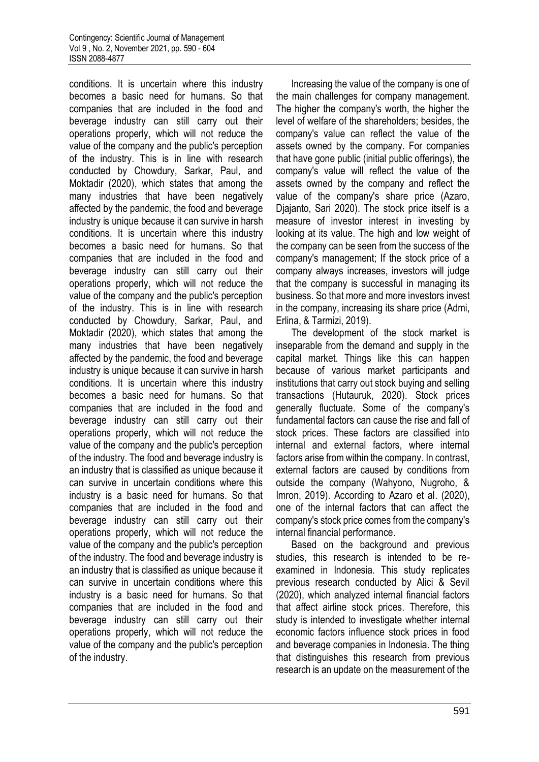conditions. It is uncertain where this industry becomes a basic need for humans. So that companies that are included in the food and beverage industry can still carry out their operations properly, which will not reduce the value of the company and the public's perception of the industry. This is in line with research conducted by Chowdury, Sarkar, Paul, and Moktadir (2020), which states that among the many industries that have been negatively affected by the pandemic, the food and beverage industry is unique because it can survive in harsh conditions. It is uncertain where this industry becomes a basic need for humans. So that companies that are included in the food and beverage industry can still carry out their operations properly, which will not reduce the value of the company and the public's perception of the industry. This is in line with research conducted by Chowdury, Sarkar, Paul, and Moktadir (2020), which states that among the many industries that have been negatively affected by the pandemic, the food and beverage industry is unique because it can survive in harsh conditions. It is uncertain where this industry becomes a basic need for humans. So that companies that are included in the food and beverage industry can still carry out their operations properly, which will not reduce the value of the company and the public's perception of the industry. The food and beverage industry is an industry that is classified as unique because it can survive in uncertain conditions where this industry is a basic need for humans. So that companies that are included in the food and beverage industry can still carry out their operations properly, which will not reduce the value of the company and the public's perception of the industry. The food and beverage industry is an industry that is classified as unique because it can survive in uncertain conditions where this industry is a basic need for humans. So that companies that are included in the food and beverage industry can still carry out their operations properly, which will not reduce the value of the company and the public's perception of the industry.

Increasing the value of the company is one of the main challenges for company management. The higher the company's worth, the higher the level of welfare of the shareholders; besides, the company's value can reflect the value of the assets owned by the company. For companies that have gone public (initial public offerings), the company's value will reflect the value of the assets owned by the company and reflect the value of the company's share price (Azaro, Djajanto, Sari 2020). The stock price itself is a measure of investor interest in investing by looking at its value. The high and low weight of the company can be seen from the success of the company's management; If the stock price of a company always increases, investors will judge that the company is successful in managing its business. So that more and more investors invest in the company, increasing its share price (Admi, Erlina, & Tarmizi, 2019).

The development of the stock market is inseparable from the demand and supply in the capital market. Things like this can happen because of various market participants and institutions that carry out stock buying and selling transactions (Hutauruk, 2020). Stock prices generally fluctuate. Some of the company's fundamental factors can cause the rise and fall of stock prices. These factors are classified into internal and external factors, where internal factors arise from within the company. In contrast, external factors are caused by conditions from outside the company (Wahyono, Nugroho, & Imron, 2019). According to Azaro et al. (2020), one of the internal factors that can affect the company's stock price comes from the company's internal financial performance.

Based on the background and previous studies, this research is intended to be reexamined in Indonesia. This study replicates previous research conducted by Alici & Sevil (2020), which analyzed internal financial factors that affect airline stock prices. Therefore, this study is intended to investigate whether internal economic factors influence stock prices in food and beverage companies in Indonesia. The thing that distinguishes this research from previous research is an update on the measurement of the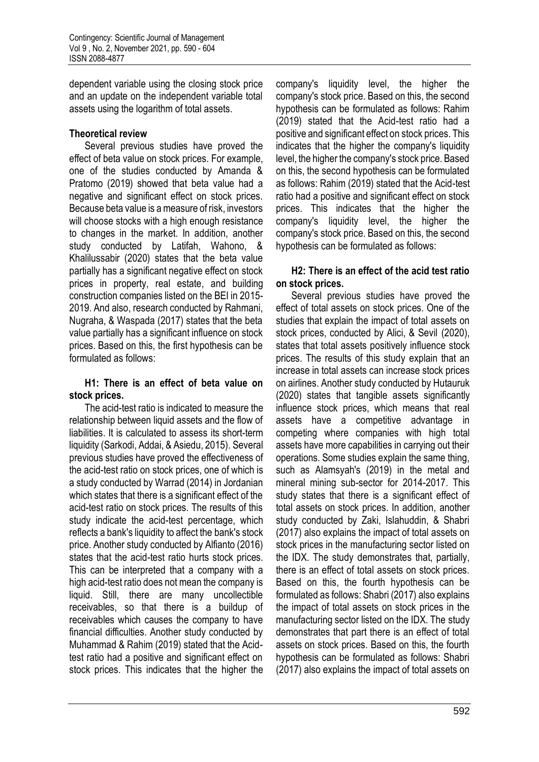dependent variable using the closing stock price and an update on the independent variable total assets using the logarithm of total assets.

# **Theoretical review**

Several previous studies have proved the effect of beta value on stock prices. For example, one of the studies conducted by Amanda & Pratomo (2019) showed that beta value had a negative and significant effect on stock prices. Because beta value is a measure of risk, investors will choose stocks with a high enough resistance to changes in the market. In addition, another study conducted by Latifah, Wahono, & Khalilussabir (2020) states that the beta value partially has a significant negative effect on stock prices in property, real estate, and building construction companies listed on the BEI in 2015- 2019. And also, research conducted by Rahmani, Nugraha, & Waspada (2017) states that the beta value partially has a significant influence on stock prices. Based on this, the first hypothesis can be formulated as follows:

### **H1: There is an effect of beta value on stock prices.**

The acid-test ratio is indicated to measure the relationship between liquid assets and the flow of liabilities. It is calculated to assess its short-term liquidity (Sarkodi, Addai, & Asiedu, 2015). Several previous studies have proved the effectiveness of the acid-test ratio on stock prices, one of which is a study conducted by Warrad (2014) in Jordanian which states that there is a significant effect of the acid-test ratio on stock prices. The results of this study indicate the acid-test percentage, which reflects a bank's liquidity to affect the bank's stock price. Another study conducted by Alfianto (2016) states that the acid-test ratio hurts stock prices. This can be interpreted that a company with a high acid-test ratio does not mean the company is liquid. Still, there are many uncollectible receivables, so that there is a buildup of receivables which causes the company to have financial difficulties. Another study conducted by Muhammad & Rahim (2019) stated that the Acidtest ratio had a positive and significant effect on stock prices. This indicates that the higher the

company's liquidity level, the higher the company's stock price. Based on this, the second hypothesis can be formulated as follows: Rahim (2019) stated that the Acid-test ratio had a positive and significant effect on stock prices. This indicates that the higher the company's liquidity level, the higher the company's stock price. Based on this, the second hypothesis can be formulated as follows: Rahim (2019) stated that the Acid-test ratio had a positive and significant effect on stock prices. This indicates that the higher the company's liquidity level, the higher the company's stock price. Based on this, the second hypothesis can be formulated as follows:

# **H2: There is an effect of the acid test ratio on stock prices.**

Several previous studies have proved the effect of total assets on stock prices. One of the studies that explain the impact of total assets on stock prices, conducted by Alici, & Sevil (2020), states that total assets positively influence stock prices. The results of this study explain that an increase in total assets can increase stock prices on airlines. Another study conducted by Hutauruk (2020) states that tangible assets significantly influence stock prices, which means that real assets have a competitive advantage in competing where companies with high total assets have more capabilities in carrying out their operations. Some studies explain the same thing, such as Alamsyah's (2019) in the metal and mineral mining sub-sector for 2014-2017. This study states that there is a significant effect of total assets on stock prices. In addition, another study conducted by Zaki, Islahuddin, & Shabri (2017) also explains the impact of total assets on stock prices in the manufacturing sector listed on the IDX. The study demonstrates that, partially, there is an effect of total assets on stock prices. Based on this, the fourth hypothesis can be formulated as follows: Shabri (2017) also explains the impact of total assets on stock prices in the manufacturing sector listed on the IDX. The study demonstrates that part there is an effect of total assets on stock prices. Based on this, the fourth hypothesis can be formulated as follows: Shabri (2017) also explains the impact of total assets on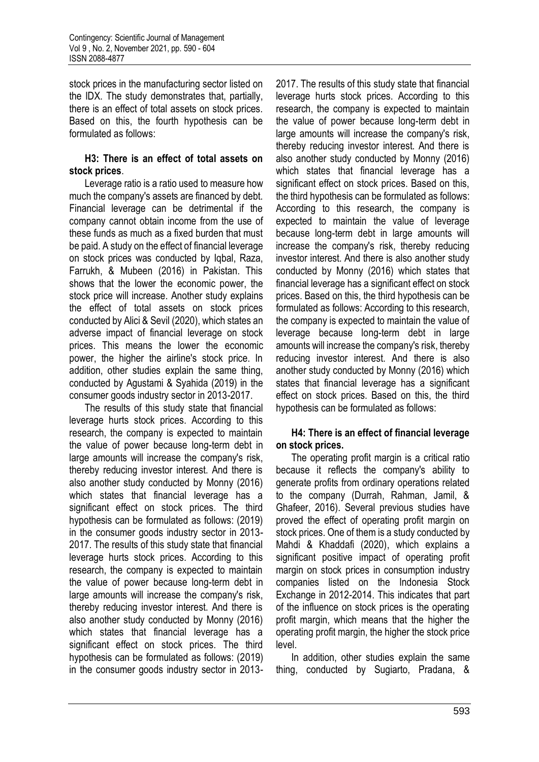stock prices in the manufacturing sector listed on the IDX. The study demonstrates that, partially, there is an effect of total assets on stock prices. Based on this, the fourth hypothesis can be formulated as follows:

### **H3: There is an effect of total assets on stock prices**.

Leverage ratio is a ratio used to measure how much the company's assets are financed by debt. Financial leverage can be detrimental if the company cannot obtain income from the use of these funds as much as a fixed burden that must be paid. A study on the effect of financial leverage on stock prices was conducted by Iqbal, Raza, Farrukh, & Mubeen (2016) in Pakistan. This shows that the lower the economic power, the stock price will increase. Another study explains the effect of total assets on stock prices conducted by Alici & Sevil (2020), which states an adverse impact of financial leverage on stock prices. This means the lower the economic power, the higher the airline's stock price. In addition, other studies explain the same thing, conducted by Agustami & Syahida (2019) in the consumer goods industry sector in 2013-2017.

The results of this study state that financial leverage hurts stock prices. According to this research, the company is expected to maintain the value of power because long-term debt in large amounts will increase the company's risk, thereby reducing investor interest. And there is also another study conducted by Monny (2016) which states that financial leverage has a significant effect on stock prices. The third hypothesis can be formulated as follows: (2019) in the consumer goods industry sector in 2013- 2017. The results of this study state that financial leverage hurts stock prices. According to this research, the company is expected to maintain the value of power because long-term debt in large amounts will increase the company's risk, thereby reducing investor interest. And there is also another study conducted by Monny (2016) which states that financial leverage has a significant effect on stock prices. The third hypothesis can be formulated as follows: (2019) in the consumer goods industry sector in 2013-

2017. The results of this study state that financial leverage hurts stock prices. According to this research, the company is expected to maintain the value of power because long-term debt in large amounts will increase the company's risk, thereby reducing investor interest. And there is also another study conducted by Monny (2016) which states that financial leverage has a significant effect on stock prices. Based on this, the third hypothesis can be formulated as follows: According to this research, the company is expected to maintain the value of leverage because long-term debt in large amounts will increase the company's risk, thereby reducing investor interest. And there is also another study conducted by Monny (2016) which states that financial leverage has a significant effect on stock prices. Based on this, the third hypothesis can be formulated as follows: According to this research, the company is expected to maintain the value of leverage because long-term debt in large amounts will increase the company's risk, thereby reducing investor interest. And there is also another study conducted by Monny (2016) which states that financial leverage has a significant effect on stock prices. Based on this, the third hypothesis can be formulated as follows:

# **H4: There is an effect of financial leverage on stock prices.**

The operating profit margin is a critical ratio because it reflects the company's ability to generate profits from ordinary operations related to the company (Durrah, Rahman, Jamil, & Ghafeer, 2016). Several previous studies have proved the effect of operating profit margin on stock prices. One of them is a study conducted by Mahdi & Khaddafi (2020), which explains a significant positive impact of operating profit margin on stock prices in consumption industry companies listed on the Indonesia Stock Exchange in 2012-2014. This indicates that part of the influence on stock prices is the operating profit margin, which means that the higher the operating profit margin, the higher the stock price level.

In addition, other studies explain the same thing, conducted by Sugiarto, Pradana, &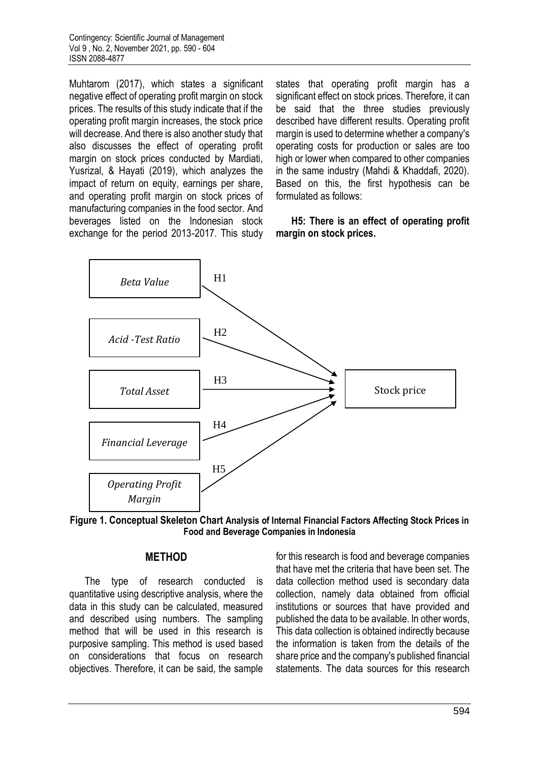Muhtarom (2017), which states a significant negative effect of operating profit margin on stock prices. The results of this study indicate that if the operating profit margin increases, the stock price will decrease. And there is also another study that also discusses the effect of operating profit margin on stock prices conducted by Mardiati, Yusrizal, & Hayati (2019), which analyzes the impact of return on equity, earnings per share, and operating profit margin on stock prices of manufacturing companies in the food sector. And beverages listed on the Indonesian stock exchange for the period 2013-2017. This study states that operating profit margin has a significant effect on stock prices. Therefore, it can be said that the three studies previously described have different results. Operating profit margin is used to determine whether a company's operating costs for production or sales are too high or lower when compared to other companies in the same industry (Mahdi & Khaddafi, 2020). Based on this, the first hypothesis can be formulated as follows:

### **H5: There is an effect of operating profit margin on stock prices.**



**Figure 1. Conceptual Skeleton Chart Analysis of Internal Financial Factors Affecting Stock Prices in Food and Beverage Companies in Indonesia**

# **METHOD**

The type of research conducted is quantitative using descriptive analysis, where the data in this study can be calculated, measured and described using numbers. The sampling method that will be used in this research is purposive sampling. This method is used based on considerations that focus on research objectives. Therefore, it can be said, the sample for this research is food and beverage companies that have met the criteria that have been set. The data collection method used is secondary data collection, namely data obtained from official institutions or sources that have provided and published the data to be available. In other words, This data collection is obtained indirectly because the information is taken from the details of the share price and the company's published financial statements. The data sources for this research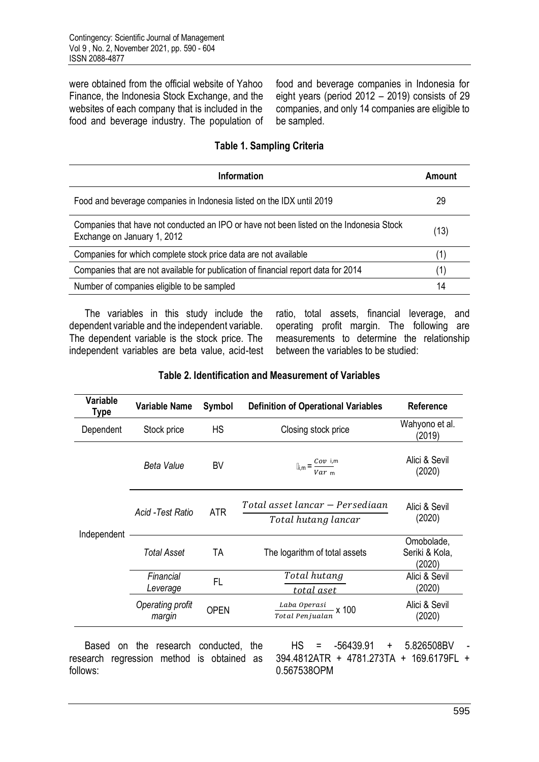were obtained from the official website of Yahoo Finance, the Indonesia Stock Exchange, and the websites of each company that is included in the food and beverage industry. The population of food and beverage companies in Indonesia for eight years (period 2012 – 2019) consists of 29 companies, and only 14 companies are eligible to be sampled.

# **Table 1. Sampling Criteria**

| <b>Information</b>                                                                                                     | Amount            |
|------------------------------------------------------------------------------------------------------------------------|-------------------|
| Food and beverage companies in Indonesia listed on the IDX until 2019                                                  | 29                |
| Companies that have not conducted an IPO or have not been listed on the Indonesia Stock<br>Exchange on January 1, 2012 | (13)              |
| Companies for which complete stock price data are not available                                                        | $\left( 1\right)$ |
| Companies that are not available for publication of financial report data for 2014                                     | (1)               |
| Number of companies eligible to be sampled                                                                             | 14                |

The variables in this study include the dependent variable and the independent variable. The dependent variable is the stock price. The independent variables are beta value, acid-test ratio, total assets, financial leverage, and operating profit margin. The following are measurements to determine the relationship between the variables to be studied:

|  | Table 2. Identification and Measurement of Variables |  |
|--|------------------------------------------------------|--|
|  |                                                      |  |

| Variable<br>Type | <b>Variable Name</b>       | Symbol      | <b>Definition of Operational Variables</b>             | <b>Reference</b>                       |
|------------------|----------------------------|-------------|--------------------------------------------------------|----------------------------------------|
| Dependent        | Stock price                | <b>HS</b>   | Closing stock price                                    | Wahyono et al.<br>(2019)               |
|                  | Beta Value                 | BV          | $\mathbb{I}_{i,m} = \frac{Cov_i}{Var_m}$               | Alici & Sevil<br>(2020)                |
|                  | Acid -Test Ratio           | <b>ATR</b>  | Total asset lancar – Persediaan<br>Total hutang lancar | Alici & Sevil<br>(2020)                |
| Independent      | Total Asset                | TA          | The logarithm of total assets                          | Omobolade,<br>Seriki & Kola,<br>(2020) |
|                  | Financial<br>Leverage      | FL.         | Total hutang<br>total aset                             | Alici & Sevil<br>(2020)                |
|                  | Operating profit<br>margin | <b>OPEN</b> | $\frac{Laba\; Operasi}{2}$ x 100<br>Total Penjualan    | Alici & Sevil<br>(2020)                |

Based on the research conducted, the research regression method is obtained as follows:

 $HS = -56439.91 + 5.826508BV$ 394.4812ATR + 4781.273TA + 169.6179FL + 0.567538OPM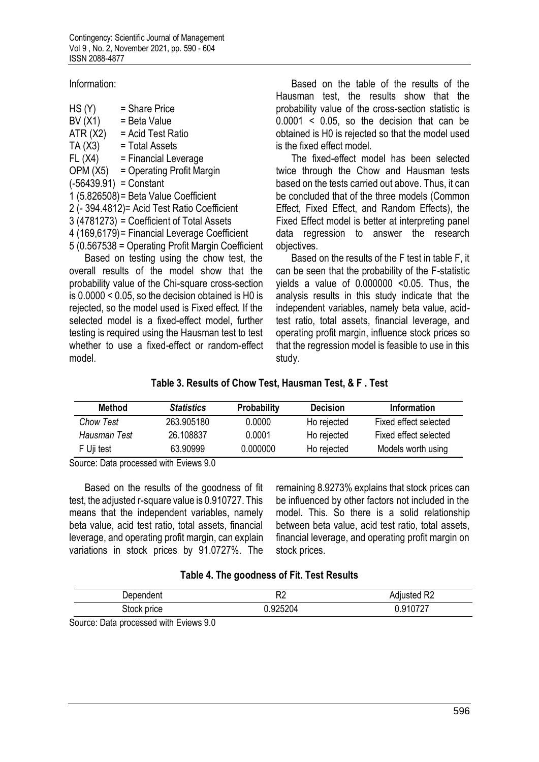Information:

| HS(Y)                    | = Share Price                                     |
|--------------------------|---------------------------------------------------|
| BV(X1)                   | = Beta Value                                      |
| ATR(X2)                  | = Acid Test Ratio                                 |
| TA(X3)                   | = Total Assets                                    |
| FL(X4)                   | = Financial Leverage                              |
|                          | $OPM(X5) = Operating Profit Margin$               |
| $(-56439.91) =$ Constant |                                                   |
|                          | 1 (5.826508) = Beta Value Coefficient             |
|                          | 2 (- 394.4812) = Acid Test Ratio Coefficient      |
|                          | 3 (4781273) = Coefficient of Total Assets         |
|                          | 4 (169,6179) = Financial Leverage Coefficient     |
|                          | 5 (0.567538 = Operating Profit Margin Coefficient |
|                          |                                                   |

Based on testing using the chow test, the overall results of the model show that the probability value of the Chi-square cross-section is 0.0000 < 0.05, so the decision obtained is H0 is rejected, so the model used is Fixed effect. If the selected model is a fixed-effect model, further testing is required using the Hausman test to test whether to use a fixed-effect or random-effect model.

Based on the table of the results of the Hausman test, the results show that the probability value of the cross-section statistic is 0.0001 < 0.05, so the decision that can be obtained is H0 is rejected so that the model used is the fixed effect model.

The fixed-effect model has been selected twice through the Chow and Hausman tests based on the tests carried out above. Thus, it can be concluded that of the three models (Common Effect, Fixed Effect, and Random Effects), the Fixed Effect model is better at interpreting panel data regression to answer the research objectives.

Based on the results of the F test in table F, it can be seen that the probability of the F-statistic yields a value of 0.000000 <0.05. Thus, the analysis results in this study indicate that the independent variables, namely beta value, acidtest ratio, total assets, financial leverage, and operating profit margin, influence stock prices so that the regression model is feasible to use in this study.

## **Table 3. Results of Chow Test, Hausman Test, & F . Test**

| <b>Method</b>    | <b>Statistics</b> | <b>Probability</b> | <b>Decision</b> | <b>Information</b>    |
|------------------|-------------------|--------------------|-----------------|-----------------------|
| <b>Chow Test</b> | 263,905180        | 0.0000             | Ho rejected     | Fixed effect selected |
| Hausman Test     | 26.108837         | 0.0001             | Ho rejected     | Fixed effect selected |
| F Uii test       | 63.90999          | 0.000000           | Ho rejected     | Models worth using    |

Source: Data processed with Eviews 9.0

Based on the results of the goodness of fit test, the adjusted r-square value is 0.910727. This means that the independent variables, namely beta value, acid test ratio, total assets, financial leverage, and operating profit margin, can explain variations in stock prices by 91.0727%. The

remaining 8.9273% explains that stock prices can be influenced by other factors not included in the model. This. So there is a solid relationship between beta value, acid test ratio, total assets, financial leverage, and operating profit margin on stock prices.

#### **Table 4. The goodness of Fit. Test Results**

| Dependent   | no.<br>∼ | Adjusted R2 |
|-------------|----------|-------------|
| Stock price | .925204  | .910727     |

Source: Data processed with Eviews 9.0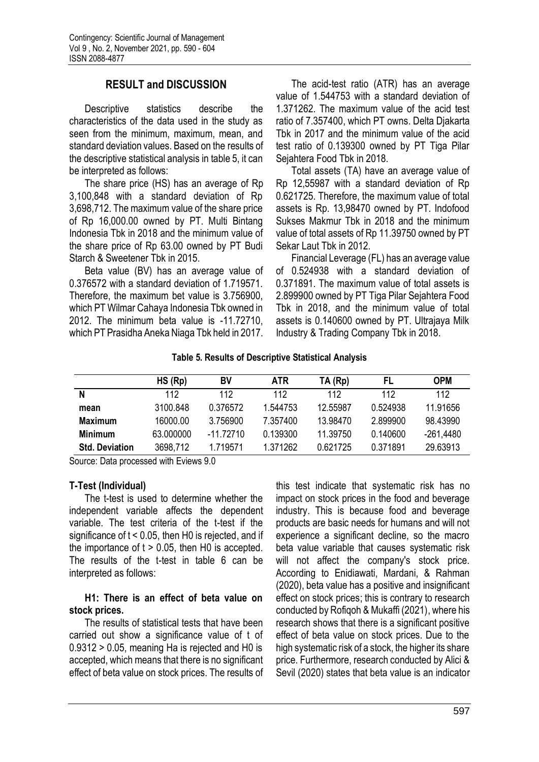# **RESULT and DISCUSSION**

Descriptive statistics describe the characteristics of the data used in the study as seen from the minimum, maximum, mean, and standard deviation values. Based on the results of the descriptive statistical analysis in table 5, it can be interpreted as follows:

The share price (HS) has an average of Rp 3,100,848 with a standard deviation of Rp 3,698,712. The maximum value of the share price of Rp 16,000.00 owned by PT. Multi Bintang Indonesia Tbk in 2018 and the minimum value of the share price of Rp 63.00 owned by PT Budi Starch & Sweetener Tbk in 2015.

Beta value (BV) has an average value of 0.376572 with a standard deviation of 1.719571. Therefore, the maximum bet value is 3.756900, which PT Wilmar Cahaya Indonesia Tbk owned in 2012. The minimum beta value is -11.72710, which PT Prasidha Aneka Niaga Tbk held in 2017.

The acid-test ratio (ATR) has an average value of 1.544753 with a standard deviation of 1.371262. The maximum value of the acid test ratio of 7.357400, which PT owns. Delta Djakarta Tbk in 2017 and the minimum value of the acid test ratio of 0.139300 owned by PT Tiga Pilar Sejahtera Food Tbk in 2018.

Total assets (TA) have an average value of Rp 12,55987 with a standard deviation of Rp 0.621725. Therefore, the maximum value of total assets is Rp. 13,98470 owned by PT. Indofood Sukses Makmur Tbk in 2018 and the minimum value of total assets of Rp 11.39750 owned by PT Sekar Laut Tbk in 2012.

Financial Leverage (FL) has an average value of 0.524938 with a standard deviation of 0.371891. The maximum value of total assets is 2.899900 owned by PT Tiga Pilar Sejahtera Food Tbk in 2018, and the minimum value of total assets is 0.140600 owned by PT. Ultrajaya Milk Industry & Trading Company Tbk in 2018.

### **Table 5. Results of Descriptive Statistical Analysis**

|                       | $HS$ ( $Rp$ ) | BV          | <b>ATR</b> | TA (Rp)  | FL       | <b>OPM</b>  |
|-----------------------|---------------|-------------|------------|----------|----------|-------------|
| N                     | 112           | 112         | 112        | 112      | 112      | 112         |
| mean                  | 3100.848      | 0.376572    | 1.544753   | 12.55987 | 0.524938 | 11.91656    |
| <b>Maximum</b>        | 16000.00      | 3.756900    | 7.357400   | 13.98470 | 2.899900 | 98.43990    |
| Minimum               | 63.000000     | $-11.72710$ | 0.139300   | 11.39750 | 0.140600 | $-261,4480$ |
| <b>Std. Deviation</b> | 3698,712      | 1.719571    | 1.371262   | 0.621725 | 0.371891 | 29.63913    |

Source: Data processed with Eviews 9.0

### **T-Test (Individual)**

The t-test is used to determine whether the independent variable affects the dependent variable. The test criteria of the t-test if the significance of t < 0.05, then H0 is rejected, and if the importance of  $t > 0.05$ , then H0 is accepted. The results of the t-test in table 6 can be interpreted as follows:

### **H1: There is an effect of beta value on stock prices.**

The results of statistical tests that have been carried out show a significance value of t of 0.9312 > 0.05, meaning Ha is rejected and H0 is accepted, which means that there is no significant effect of beta value on stock prices. The results of this test indicate that systematic risk has no impact on stock prices in the food and beverage industry. This is because food and beverage products are basic needs for humans and will not experience a significant decline, so the macro beta value variable that causes systematic risk will not affect the company's stock price. According to Enidiawati, Mardani, & Rahman (2020), beta value has a positive and insignificant effect on stock prices; this is contrary to research conducted by Rofiqoh & Mukaffi (2021), where his research shows that there is a significant positive effect of beta value on stock prices. Due to the high systematic risk of a stock, the higher its share price. Furthermore, research conducted by Alici & Sevil (2020) states that beta value is an indicator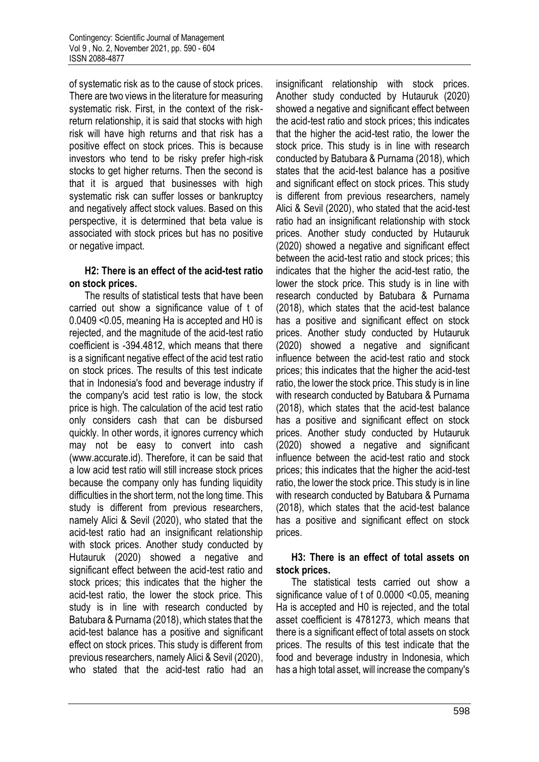of systematic risk as to the cause of stock prices. There are two views in the literature for measuring systematic risk. First, in the context of the riskreturn relationship, it is said that stocks with high risk will have high returns and that risk has a positive effect on stock prices. This is because investors who tend to be risky prefer high-risk stocks to get higher returns. Then the second is that it is argued that businesses with high systematic risk can suffer losses or bankruptcy and negatively affect stock values. Based on this perspective, it is determined that beta value is associated with stock prices but has no positive or negative impact.

## **H2: There is an effect of the acid-test ratio on stock prices.**

The results of statistical tests that have been carried out show a significance value of t of 0.0409 <0.05, meaning Ha is accepted and H0 is rejected, and the magnitude of the acid-test ratio coefficient is -394.4812, which means that there is a significant negative effect of the acid test ratio on stock prices. The results of this test indicate that in Indonesia's food and beverage industry if the company's acid test ratio is low, the stock price is high. The calculation of the acid test ratio only considers cash that can be disbursed quickly. In other words, it ignores currency which may not be easy to convert into cash (www.accurate.id). Therefore, it can be said that a low acid test ratio will still increase stock prices because the company only has funding liquidity difficulties in the short term, not the long time. This study is different from previous researchers, namely Alici & Sevil (2020), who stated that the acid-test ratio had an insignificant relationship with stock prices. Another study conducted by Hutauruk (2020) showed a negative and significant effect between the acid-test ratio and stock prices; this indicates that the higher the acid-test ratio, the lower the stock price. This study is in line with research conducted by Batubara & Purnama (2018), which states that the acid-test balance has a positive and significant effect on stock prices. This study is different from previous researchers, namely Alici & Sevil (2020), who stated that the acid-test ratio had an

insignificant relationship with stock prices. Another study conducted by Hutauruk (2020) showed a negative and significant effect between the acid-test ratio and stock prices; this indicates that the higher the acid-test ratio, the lower the stock price. This study is in line with research conducted by Batubara & Purnama (2018), which states that the acid-test balance has a positive and significant effect on stock prices. This study is different from previous researchers, namely Alici & Sevil (2020), who stated that the acid-test ratio had an insignificant relationship with stock prices. Another study conducted by Hutauruk (2020) showed a negative and significant effect between the acid-test ratio and stock prices; this indicates that the higher the acid-test ratio, the lower the stock price. This study is in line with research conducted by Batubara & Purnama (2018), which states that the acid-test balance has a positive and significant effect on stock prices. Another study conducted by Hutauruk (2020) showed a negative and significant influence between the acid-test ratio and stock prices; this indicates that the higher the acid-test ratio, the lower the stock price. This study is in line with research conducted by Batubara & Purnama (2018), which states that the acid-test balance has a positive and significant effect on stock prices. Another study conducted by Hutauruk (2020) showed a negative and significant influence between the acid-test ratio and stock prices; this indicates that the higher the acid-test ratio, the lower the stock price. This study is in line with research conducted by Batubara & Purnama (2018), which states that the acid-test balance has a positive and significant effect on stock prices.

### **H3: There is an effect of total assets on stock prices.**

The statistical tests carried out show a significance value of t of 0.0000 <0.05, meaning Ha is accepted and H0 is rejected, and the total asset coefficient is 4781273, which means that there is a significant effect of total assets on stock prices. The results of this test indicate that the food and beverage industry in Indonesia, which has a high total asset, will increase the company's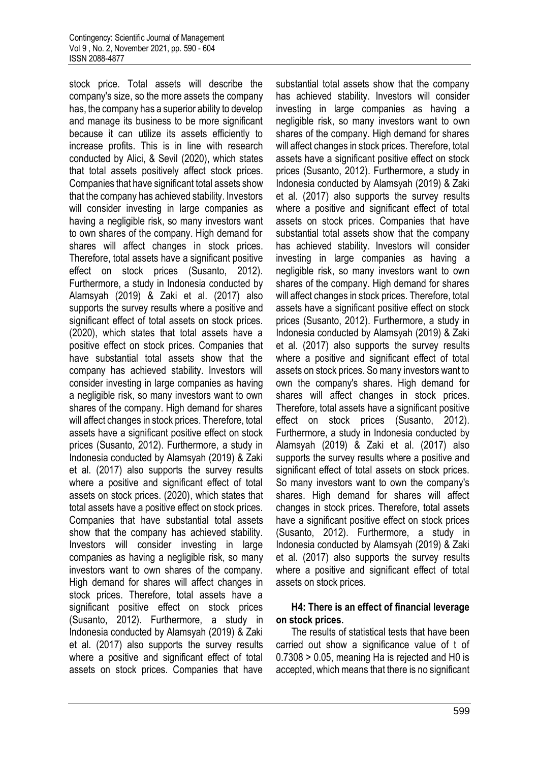stock price. Total assets will describe the company's size, so the more assets the company has, the company has a superior ability to develop and manage its business to be more significant because it can utilize its assets efficiently to increase profits. This is in line with research conducted by Alici, & Sevil (2020), which states that total assets positively affect stock prices. Companies that have significant total assets show that the company has achieved stability. Investors will consider investing in large companies as having a negligible risk, so many investors want to own shares of the company. High demand for shares will affect changes in stock prices. Therefore, total assets have a significant positive effect on stock prices (Susanto, 2012). Furthermore, a study in Indonesia conducted by Alamsyah (2019) & Zaki et al. (2017) also supports the survey results where a positive and significant effect of total assets on stock prices. (2020), which states that total assets have a positive effect on stock prices. Companies that have substantial total assets show that the company has achieved stability. Investors will consider investing in large companies as having a negligible risk, so many investors want to own shares of the company. High demand for shares will affect changes in stock prices. Therefore, total assets have a significant positive effect on stock prices (Susanto, 2012). Furthermore, a study in Indonesia conducted by Alamsyah (2019) & Zaki et al. (2017) also supports the survey results where a positive and significant effect of total assets on stock prices. (2020), which states that total assets have a positive effect on stock prices. Companies that have substantial total assets show that the company has achieved stability. Investors will consider investing in large companies as having a negligible risk, so many investors want to own shares of the company. High demand for shares will affect changes in stock prices. Therefore, total assets have a significant positive effect on stock prices (Susanto, 2012). Furthermore, a study in Indonesia conducted by Alamsyah (2019) & Zaki et al. (2017) also supports the survey results where a positive and significant effect of total assets on stock prices. Companies that have

substantial total assets show that the company has achieved stability. Investors will consider investing in large companies as having a negligible risk, so many investors want to own shares of the company. High demand for shares will affect changes in stock prices. Therefore, total assets have a significant positive effect on stock prices (Susanto, 2012). Furthermore, a study in Indonesia conducted by Alamsyah (2019) & Zaki et al. (2017) also supports the survey results where a positive and significant effect of total assets on stock prices. Companies that have substantial total assets show that the company has achieved stability. Investors will consider investing in large companies as having a negligible risk, so many investors want to own shares of the company. High demand for shares will affect changes in stock prices. Therefore, total assets have a significant positive effect on stock prices (Susanto, 2012). Furthermore, a study in Indonesia conducted by Alamsyah (2019) & Zaki et al. (2017) also supports the survey results where a positive and significant effect of total assets on stock prices. So many investors want to own the company's shares. High demand for shares will affect changes in stock prices. Therefore, total assets have a significant positive effect on stock prices (Susanto, 2012). Furthermore, a study in Indonesia conducted by Alamsyah (2019) & Zaki et al. (2017) also supports the survey results where a positive and significant effect of total assets on stock prices. So many investors want to own the company's shares. High demand for shares will affect changes in stock prices. Therefore, total assets have a significant positive effect on stock prices (Susanto, 2012). Furthermore, a study in Indonesia conducted by Alamsyah (2019) & Zaki et al. (2017) also supports the survey results where a positive and significant effect of total assets on stock prices.

# **H4: There is an effect of financial leverage on stock prices.**

The results of statistical tests that have been carried out show a significance value of t of 0.7308 > 0.05, meaning Ha is rejected and H0 is accepted, which means that there is no significant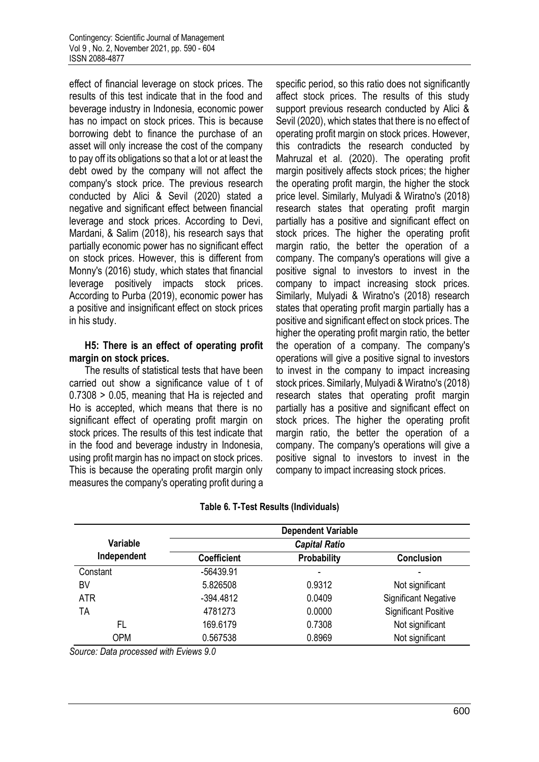effect of financial leverage on stock prices. The results of this test indicate that in the food and beverage industry in Indonesia, economic power has no impact on stock prices. This is because borrowing debt to finance the purchase of an asset will only increase the cost of the company to pay off its obligations so that a lot or at least the debt owed by the company will not affect the company's stock price. The previous research conducted by Alici & Sevil (2020) stated a negative and significant effect between financial leverage and stock prices. According to Devi, Mardani, & Salim (2018), his research says that partially economic power has no significant effect on stock prices. However, this is different from Monny's (2016) study, which states that financial leverage positively impacts stock prices. According to Purba (2019), economic power has a positive and insignificant effect on stock prices in his study.

### **H5: There is an effect of operating profit margin on stock prices.**

The results of statistical tests that have been carried out show a significance value of t of 0.7308 > 0.05, meaning that Ha is rejected and Ho is accepted, which means that there is no significant effect of operating profit margin on stock prices. The results of this test indicate that in the food and beverage industry in Indonesia, using profit margin has no impact on stock prices. This is because the operating profit margin only measures the company's operating profit during a specific period, so this ratio does not significantly affect stock prices. The results of this study support previous research conducted by Alici & Sevil (2020), which states that there is no effect of operating profit margin on stock prices. However, this contradicts the research conducted by Mahruzal et al. (2020). The operating profit margin positively affects stock prices; the higher the operating profit margin, the higher the stock price level. Similarly, Mulyadi & Wiratno's (2018) research states that operating profit margin partially has a positive and significant effect on stock prices. The higher the operating profit margin ratio, the better the operation of a company. The company's operations will give a positive signal to investors to invest in the company to impact increasing stock prices. Similarly, Mulyadi & Wiratno's (2018) research states that operating profit margin partially has a positive and significant effect on stock prices. The higher the operating profit margin ratio, the better the operation of a company. The company's operations will give a positive signal to investors to invest in the company to impact increasing stock prices. Similarly, Mulyadi & Wiratno's (2018) research states that operating profit margin partially has a positive and significant effect on stock prices. The higher the operating profit margin ratio, the better the operation of a company. The company's operations will give a positive signal to investors to invest in the company to impact increasing stock prices.

|             |                    | <b>Dependent Variable</b> |                             |
|-------------|--------------------|---------------------------|-----------------------------|
| Variable    |                    | <b>Capital Ratio</b>      |                             |
| Independent | <b>Coefficient</b> | Probability               | <b>Conclusion</b>           |
| Constant    | $-56439.91$        | ۰                         |                             |
| BV          | 5.826508           | 0.9312                    | Not significant             |
| <b>ATR</b>  | $-394.4812$        | 0.0409                    | <b>Significant Negative</b> |
| TA          | 4781273            | 0.0000                    | <b>Significant Positive</b> |
| FL          | 169.6179           | 0.7308                    | Not significant             |
| <b>OPM</b>  | 0.567538           | 0.8969                    | Not significant             |

### **Table 6. T-Test Results (Individuals)**

*Source: Data processed with Eviews 9.0*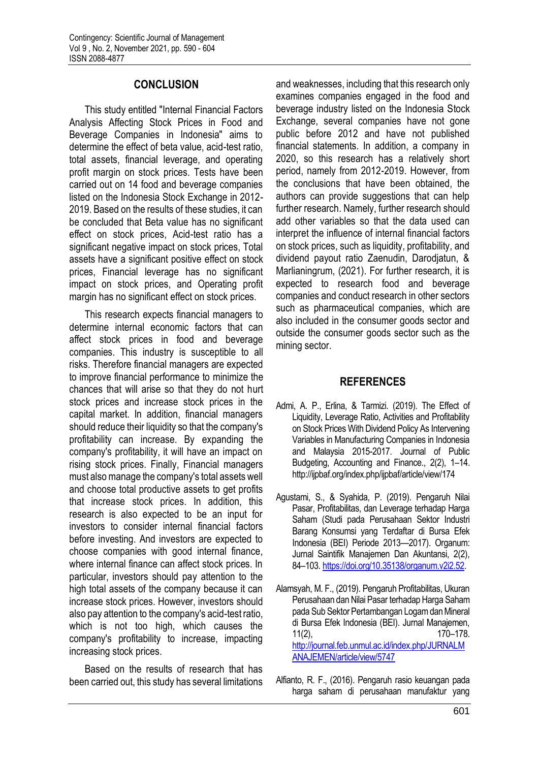# **CONCLUSION**

This study entitled "Internal Financial Factors Analysis Affecting Stock Prices in Food and Beverage Companies in Indonesia" aims to determine the effect of beta value, acid-test ratio, total assets, financial leverage, and operating profit margin on stock prices. Tests have been carried out on 14 food and beverage companies listed on the Indonesia Stock Exchange in 2012- 2019. Based on the results of these studies, it can be concluded that Beta value has no significant effect on stock prices, Acid-test ratio has a significant negative impact on stock prices, Total assets have a significant positive effect on stock prices, Financial leverage has no significant impact on stock prices, and Operating profit margin has no significant effect on stock prices.

This research expects financial managers to determine internal economic factors that can affect stock prices in food and beverage companies. This industry is susceptible to all risks. Therefore financial managers are expected to improve financial performance to minimize the chances that will arise so that they do not hurt stock prices and increase stock prices in the capital market. In addition, financial managers should reduce their liquidity so that the company's profitability can increase. By expanding the company's profitability, it will have an impact on rising stock prices. Finally, Financial managers must also manage the company's total assets well and choose total productive assets to get profits that increase stock prices. In addition, this research is also expected to be an input for investors to consider internal financial factors before investing. And investors are expected to choose companies with good internal finance, where internal finance can affect stock prices. In particular, investors should pay attention to the high total assets of the company because it can increase stock prices. However, investors should also pay attention to the company's acid-test ratio, which is not too high, which causes the company's profitability to increase, impacting increasing stock prices.

Based on the results of research that has been carried out, this study has several limitations

and weaknesses, including that this research only examines companies engaged in the food and beverage industry listed on the Indonesia Stock Exchange, several companies have not gone public before 2012 and have not published financial statements. In addition, a company in 2020, so this research has a relatively short period, namely from 2012-2019. However, from the conclusions that have been obtained, the authors can provide suggestions that can help further research. Namely, further research should add other variables so that the data used can interpret the influence of internal financial factors on stock prices, such as liquidity, profitability, and dividend payout ratio Zaenudin, Darodjatun, & Marlianingrum, (2021). For further research, it is expected to research food and beverage companies and conduct research in other sectors such as pharmaceutical companies, which are also included in the consumer goods sector and outside the consumer goods sector such as the mining sector.

# **REFERENCES**

- Admi, A. P., Erlina, & Tarmizi. (2019). The Effect of Liquidity, Leverage Ratio, Activities and Profitability on Stock Prices With Dividend Policy As Intervening Variables in Manufacturing Companies in Indonesia and Malaysia 2015-2017. Journal of Public Budgeting, Accounting and Finance., 2(2), 1–14. http://ijpbaf.org/index.php/ijpbaf/article/view/174
- Agustami, S., & Syahida, P. (2019). Pengaruh Nilai Pasar, Profitabilitas, dan Leverage terhadap Harga Saham (Studi pada Perusahaan Sektor Industri Barang Konsumsi yang Terdaftar di Bursa Efek Indonesia (BEI) Periode 2013—2017). Organum: Jurnal Saintifik Manajemen Dan Akuntansi, 2(2), 84–103[. https://doi.org/10.35138/organum.v2i2.52.](https://doi.org/10.35138/organum.v2i2.52)
- Alamsyah, M. F., (2019). Pengaruh Profitabilitas, Ukuran Perusahaan dan Nilai Pasar terhadap Harga Saham pada Sub Sektor Pertambangan Logam dan Mineral di Bursa Efek Indonesia (BEI). Jurnal Manajemen, 11(2), 170–178. [http://journal.feb.unmul.ac.id/index.php/JURNALM](http://journal.feb.unmul.ac.id/index.php/JURNALMANAJEMEN/article/view/5747) [ANAJEMEN/article/view/5747](http://journal.feb.unmul.ac.id/index.php/JURNALMANAJEMEN/article/view/5747)
- Alfianto, R. F., (2016). Pengaruh rasio keuangan pada harga saham di perusahaan manufaktur yang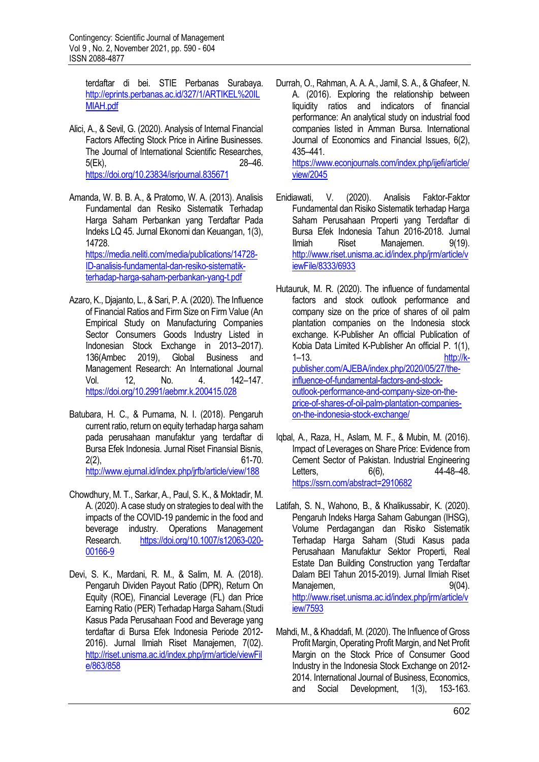terdaftar di bei. STIE Perbanas Surabaya. [http://eprints.perbanas.ac.id/327/1/ARTIKEL%20IL](http://eprints.perbanas.ac.id/327/1/ARTIKEL%20ILMIAH.pdf) [MIAH.pdf](http://eprints.perbanas.ac.id/327/1/ARTIKEL%20ILMIAH.pdf)

- Alici, A., & Sevil, G. (2020). Analysis of Internal Financial Factors Affecting Stock Price in Airline Businesses. The Journal of International Scientific Researches, 5(Ek), 28–46. <https://doi.org/10.23834/isrjournal.835671>
- Amanda, W. B. B. A., & Pratomo, W. A. (2013). Analisis Fundamental dan Resiko Sistematik Terhadap Harga Saham Perbankan yang Terdaftar Pada Indeks LQ 45. Jurnal Ekonomi dan Keuangan, 1(3), 14728. [https://media.neliti.com/media/publications/14728-](https://media.neliti.com/media/publications/14728-ID-analisis-fundamental-dan-resiko-sistematik-terhadap-harga-saham-perbankan-yang-t.pdf) [ID-analisis-fundamental-dan-resiko-sistematik-](https://media.neliti.com/media/publications/14728-ID-analisis-fundamental-dan-resiko-sistematik-terhadap-harga-saham-perbankan-yang-t.pdf)

[terhadap-harga-saham-perbankan-yang-t.pdf](https://media.neliti.com/media/publications/14728-ID-analisis-fundamental-dan-resiko-sistematik-terhadap-harga-saham-perbankan-yang-t.pdf)

- Azaro, K., Djajanto, L., & Sari, P. A. (2020). The Influence of Financial Ratios and Firm Size on Firm Value (An Empirical Study on Manufacturing Companies Sector Consumers Goods Industry Listed in Indonesian Stock Exchange in 2013–2017). 136(Ambec 2019), Global Business and Management Research: An International Journal Vol. 12, No. 4. 142–147. <https://doi.org/10.2991/aebmr.k.200415.028>
- Batubara, H. C., & Purnama, N. I. (2018). Pengaruh current ratio, return on equity terhadap harga saham pada perusahaan manufaktur yang terdaftar di Bursa Efek Indonesia. Jurnal Riset Finansial Bisnis, 2(2), 61-70. <http://www.ejurnal.id/index.php/jrfb/article/view/188>
- Chowdhury, M. T., Sarkar, A., Paul, S. K., & Moktadir, M. A. (2020). A case study on strategies to deal with the impacts of the COVID-19 pandemic in the food and beverage industry. Operations Management Research. [https://doi.org/10.1007/s12063-020-](https://doi.org/10.1007/s12063-020-00166-9) [00166-9](https://doi.org/10.1007/s12063-020-00166-9)
- Devi, S. K., Mardani, R. M., & Salim, M. A. (2018). Pengaruh Dividen Payout Ratio (DPR), Return On Equity (ROE), Financial Leverage (FL) dan Price Earning Ratio (PER) Terhadap Harga Saham.(Studi Kasus Pada Perusahaan Food and Beverage yang terdaftar di Bursa Efek Indonesia Periode 2012- 2016). Jurnal Ilmiah Riset Manajemen, 7(02). [http://riset.unisma.ac.id/index.php/jrm/article/viewFil](http://riset.unisma.ac.id/index.php/jrm/article/viewFile/863/858) [e/863/858](http://riset.unisma.ac.id/index.php/jrm/article/viewFile/863/858)
- Durrah, O., Rahman, A. A. A., Jamil, S. A., & Ghafeer, N. A. (2016). Exploring the relationship between liquidity ratios and indicators of financial performance: An analytical study on industrial food companies listed in Amman Bursa. International Journal of Economics and Financial Issues, 6(2), 435–441. [https://www.econjournals.com/index.php/ijefi/article/](https://www.econjournals.com/index.php/ijefi/article/view/2045) [view/2045](https://www.econjournals.com/index.php/ijefi/article/view/2045)
- Enidiawati, V. (2020). Analisis Faktor-Faktor Fundamental dan Risiko Sistematik terhadap Harga Saham Perusahaan Properti yang Terdaftar di Bursa Efek Indonesia Tahun 2016-2018. Jurnal Ilmiah Riset Manajemen. 9(19). [http://www.riset.unisma.ac.id/index.php/jrm/article/v](http://www.riset.unisma.ac.id/index.php/jrm/article/viewFile/8333/6933) [iewFile/8333/6933](http://www.riset.unisma.ac.id/index.php/jrm/article/viewFile/8333/6933)
- Hutauruk, M. R. (2020). The influence of fundamental factors and stock outlook performance and company size on the price of shares of oil palm plantation companies on the Indonesia stock exchange. K-Publisher An official Publication of Kobia Data Limited K-Publisher An official P. 1(1), 1–13. [http://k](http://k-publisher.com/AJEBA/index.php/2020/05/27/the-influence-of-fundamental-factors-and-stock-outlook-performance-and-company-size-on-the-price-of-shares-of-oil-palm-plantation-companies-on-the-indonesia-stock-exchange/)[publisher.com/AJEBA/index.php/2020/05/27/the](http://k-publisher.com/AJEBA/index.php/2020/05/27/the-influence-of-fundamental-factors-and-stock-outlook-performance-and-company-size-on-the-price-of-shares-of-oil-palm-plantation-companies-on-the-indonesia-stock-exchange/)[influence-of-fundamental-factors-and-stock](http://k-publisher.com/AJEBA/index.php/2020/05/27/the-influence-of-fundamental-factors-and-stock-outlook-performance-and-company-size-on-the-price-of-shares-of-oil-palm-plantation-companies-on-the-indonesia-stock-exchange/)[outlook-performance-and-company-size-on-the](http://k-publisher.com/AJEBA/index.php/2020/05/27/the-influence-of-fundamental-factors-and-stock-outlook-performance-and-company-size-on-the-price-of-shares-of-oil-palm-plantation-companies-on-the-indonesia-stock-exchange/)[price-of-shares-of-oil-palm-plantation-companies](http://k-publisher.com/AJEBA/index.php/2020/05/27/the-influence-of-fundamental-factors-and-stock-outlook-performance-and-company-size-on-the-price-of-shares-of-oil-palm-plantation-companies-on-the-indonesia-stock-exchange/)[on-the-indonesia-stock-exchange/](http://k-publisher.com/AJEBA/index.php/2020/05/27/the-influence-of-fundamental-factors-and-stock-outlook-performance-and-company-size-on-the-price-of-shares-of-oil-palm-plantation-companies-on-the-indonesia-stock-exchange/)
- Iqbal, A., Raza, H., Aslam, M. F., & Mubin, M. (2016). Impact of Leverages on Share Price: Evidence from Cement Sector of Pakistan. Industrial Engineering Letters, 6(6), 44-48-48. <https://ssrn.com/abstract=2910682>
- Latifah, S. N., Wahono, B., & Khalikussabir, K. (2020). Pengaruh Indeks Harga Saham Gabungan (IHSG), Volume Perdagangan dan Risiko Sistematik Terhadap Harga Saham (Studi Kasus pada Perusahaan Manufaktur Sektor Properti, Real Estate Dan Building Construction yang Terdaftar Dalam BEI Tahun 2015-2019). Jurnal Ilmiah Riset Manajemen. 9(04). [http://www.riset.unisma.ac.id/index.php/jrm/article/v](http://www.riset.unisma.ac.id/index.php/jrm/article/view/7593) [iew/7593](http://www.riset.unisma.ac.id/index.php/jrm/article/view/7593)
- Mahdi, M., & Khaddafi, M. (2020). The Influence of Gross Profit Margin, Operating Profit Margin, and Net Profit Margin on the Stock Price of Consumer Good Industry in the Indonesia Stock Exchange on 2012- 2014. International Journal of Business, Economics, and Social Development, 1(3), 153-163.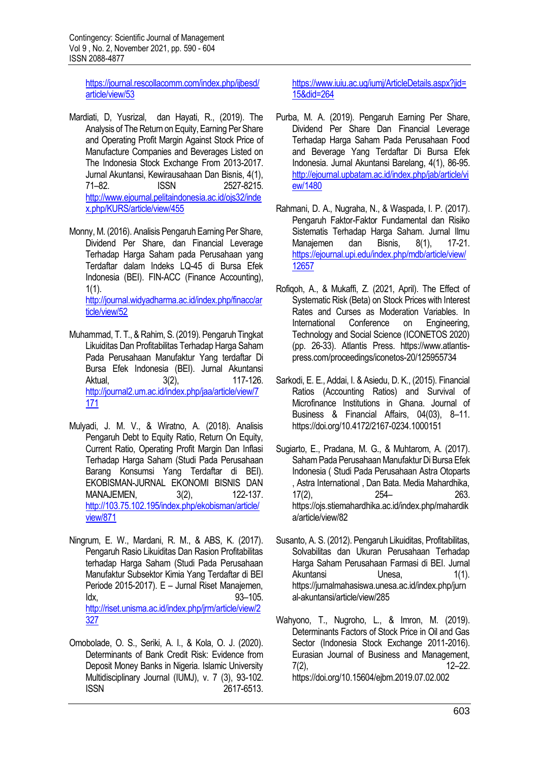[https://journal.rescollacomm.com/index.php/ijbesd/](https://journal.rescollacomm.com/index.php/ijbesd/article/view/53) [article/view/53](https://journal.rescollacomm.com/index.php/ijbesd/article/view/53)

- Mardiati, D, Yusrizal, dan Hayati, R., (2019). The Analysis of The Return on Equity, Earning Per Share and Operating Profit Margin Against Stock Price of Manufacture Companies and Beverages Listed on The Indonesia Stock Exchange From 2013-2017. Jurnal Akuntansi, Kewirausahaan Dan Bisnis, 4(1), 71–82. ISSN 2527-8215. [http://www.ejournal.pelitaindonesia.ac.id/ojs32/inde](http://www.ejournal.pelitaindonesia.ac.id/ojs32/index.php/KURS/article/view/455) [x.php/KURS/article/view/455](http://www.ejournal.pelitaindonesia.ac.id/ojs32/index.php/KURS/article/view/455)
- Monny, M. (2016). Analisis Pengaruh Earning Per Share, Dividend Per Share, dan Financial Leverage Terhadap Harga Saham pada Perusahaan yang Terdaftar dalam Indeks LQ-45 di Bursa Efek Indonesia (BEI). FIN-ACC (Finance Accounting), 1(1). [http://journal.widyadharma.ac.id/index.php/finacc/ar](http://journal.widyadharma.ac.id/index.php/finacc/article/view/52) [ticle/view/52](http://journal.widyadharma.ac.id/index.php/finacc/article/view/52)
- Muhammad, T. T., & Rahim, S. (2019). Pengaruh Tingkat Likuiditas Dan Profitabilitas Terhadap Harga Saham Pada Perusahaan Manufaktur Yang terdaftar Di Bursa Efek Indonesia (BEI). Jurnal Akuntansi Aktual, 3(2), 117-126. [http://journal2.um.ac.id/index.php/jaa/article/view/7](http://journal2.um.ac.id/index.php/jaa/article/view/7171) [171](http://journal2.um.ac.id/index.php/jaa/article/view/7171)
- Mulyadi, J. M. V., & Wiratno, A. (2018). Analisis Pengaruh Debt to Equity Ratio, Return On Equity, Current Ratio, Operating Profit Margin Dan Inflasi Terhadap Harga Saham (Studi Pada Perusahaan Barang Konsumsi Yang Terdaftar di BEI). EKOBISMAN-JURNAL EKONOMI BISNIS DAN MANAJEMEN, 3(2), 122-137. [http://103.75.102.195/index.php/ekobisman/article/](http://103.75.102.195/index.php/ekobisman/article/view/871) [view/871](http://103.75.102.195/index.php/ekobisman/article/view/871)
- Ningrum, E. W., Mardani, R. M., & ABS, K. (2017). Pengaruh Rasio Likuiditas Dan Rasion Profitabilitas terhadap Harga Saham (Studi Pada Perusahaan Manufaktur Subsektor Kimia Yang Terdaftar di BEI Periode 2015-2017). E – Jurnal Riset Manajemen, Idx, 93–105. [http://riset.unisma.ac.id/index.php/jrm/article/view/2](http://riset.unisma.ac.id/index.php/jrm/article/view/2327) [327](http://riset.unisma.ac.id/index.php/jrm/article/view/2327)
- Omobolade, O. S., Seriki, A. I., & Kola, O. J. (2020). Determinants of Bank Credit Risk: Evidence from Deposit Money Banks in Nigeria. Islamic University Multidisciplinary Journal (IUMJ), v. 7 (3), 93-102. ISSN 2617-6513.

https://www.juju.ac.ug/jumj/ArticleDetails.aspx?jid= [15&did=264](https://www.iuiu.ac.ug/iumj/ArticleDetails.aspx?jid=15&did=264)

- Purba, M. A. (2019). Pengaruh Earning Per Share, Dividend Per Share Dan Financial Leverage Terhadap Harga Saham Pada Perusahaan Food and Beverage Yang Terdaftar Di Bursa Efek Indonesia. Jurnal Akuntansi Barelang, 4(1), 86-95. [http://ejournal.upbatam.ac.id/index.php/jab/article/vi](http://ejournal.upbatam.ac.id/index.php/jab/article/view/1480) [ew/1480](http://ejournal.upbatam.ac.id/index.php/jab/article/view/1480)
- Rahmani, D. A., Nugraha, N., & Waspada, I. P. (2017). Pengaruh Faktor-Faktor Fundamental dan Risiko Sistematis Terhadap Harga Saham. Jurnal Ilmu Manajemen dan Bisnis, 8(1), 17-21. [https://ejournal.upi.edu/index.php/mdb/article/view/](https://ejournal.upi.edu/index.php/mdb/article/view/12657) [12657](https://ejournal.upi.edu/index.php/mdb/article/view/12657)
- Rofiqoh, A., & Mukaffi, Z. (2021, April). The Effect of Systematic Risk (Beta) on Stock Prices with Interest Rates and Curses as Moderation Variables. In International Conference on Engineering, Technology and Social Science (ICONETOS 2020) (pp. 26-33). Atlantis Press. https://www.atlantispress.com/proceedings/iconetos-20/125955734
- Sarkodi, E. E., Addai, I. & Asiedu, D. K., (2015). Financial Ratios (Accounting Ratios) and Survival of Microfinance Institutions in Ghana. Journal of Business & Financial Affairs, 04(03), 8–11. https://doi.org/10.4172/2167-0234.1000151
- Sugiarto, E., Pradana, M. G., & Muhtarom, A. (2017). Saham Pada Perusahaan Manufaktur Di Bursa Efek Indonesia ( Studi Pada Perusahaan Astra Otoparts , Astra International , Dan Bata. Media Mahardhika, 17(2), 254– 263. https://ojs.stiemahardhika.ac.id/index.php/mahardik a/article/view/82
- Susanto, A. S. (2012). Pengaruh Likuiditas, Profitabilitas, Solvabilitas dan Ukuran Perusahaan Terhadap Harga Saham Perusahaan Farmasi di BEI. Jurnal Akuntansi Unesa. 1(1). https://jurnalmahasiswa.unesa.ac.id/index.php/jurn al-akuntansi/article/view/285
- Wahyono, T., Nugroho, L., & Imron, M. (2019). Determinants Factors of Stock Price in Oil and Gas Sector (Indonesia Stock Exchange 2011-2016). Eurasian Journal of Business and Management, 7(2), 12–22. https://doi.org/10.15604/ejbm.2019.07.02.002